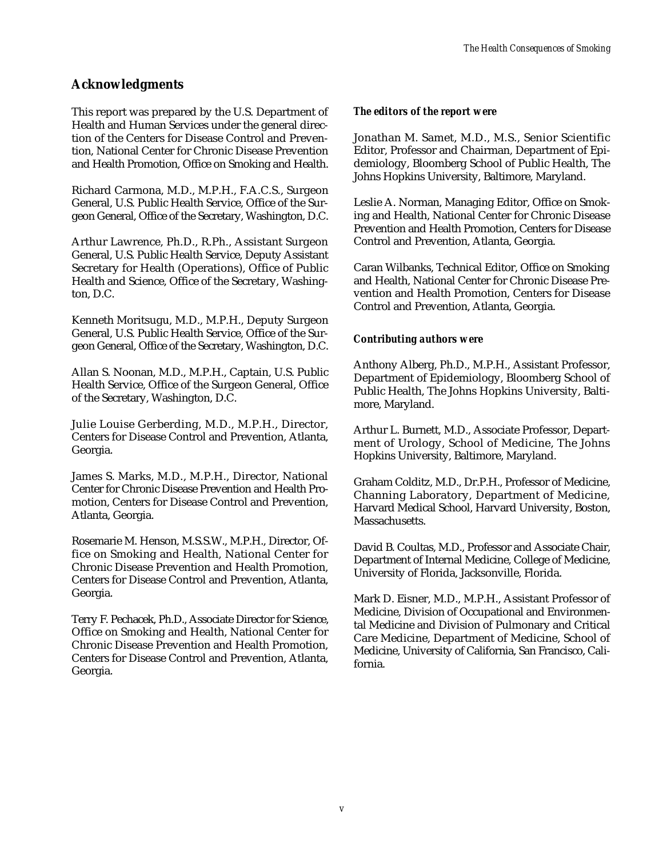# **Acknowledgments**

This report was prepared by the U.S. Department of Health and Human Services under the general direction of the Centers for Disease Control and Prevention, National Center for Chronic Disease Prevention and Health Promotion, Office on Smoking and Health.

Richard Carmona, M.D., M.P.H., F.A.C.S., Surgeon General, U.S. Public Health Service, Office of the Surgeon General, Office of the Secretary, Washington, D.C.

Arthur Lawrence, Ph.D., R.Ph., Assistant Surgeon General, U.S. Public Health Service, Deputy Assistant Secretary for Health (Operations), Office of Public Health and Science, Office of the Secretary, Washington, D.C.

Kenneth Moritsugu, M.D., M.P.H., Deputy Surgeon General, U.S. Public Health Service, Office of the Surgeon General, Office of the Secretary, Washington, D.C.

Allan S. Noonan, M.D., M.P.H., Captain, U.S. Public Health Service, Office of the Surgeon General, Office of the Secretary, Washington, D.C.

Julie Louise Gerberding, M.D., M.P.H., Director, Centers for Disease Control and Prevention, Atlanta, Georgia.

James S. Marks, M.D., M.P.H., Director, National Center for Chronic Disease Prevention and Health Promotion, Centers for Disease Control and Prevention, Atlanta, Georgia.

Rosemarie M. Henson, M.S.S.W., M.P.H., Director, Office on Smoking and Health, National Center for Chronic Disease Prevention and Health Promotion, Centers for Disease Control and Prevention, Atlanta, Georgia.

Terry F. Pechacek, Ph.D., Associate Director for Science, Office on Smoking and Health, National Center for Chronic Disease Prevention and Health Promotion, Centers for Disease Control and Prevention, Atlanta, Georgia.

#### *The editors of the report were*

Jonathan M. Samet, M.D., M.S., Senior Scientific Editor, Professor and Chairman, Department of Epidemiology, Bloomberg School of Public Health, The Johns Hopkins University, Baltimore, Maryland.

Leslie A. Norman, Managing Editor, Office on Smoking and Health, National Center for Chronic Disease Prevention and Health Promotion, Centers for Disease Control and Prevention, Atlanta, Georgia.

Caran Wilbanks, Technical Editor, Office on Smoking and Health, National Center for Chronic Disease Prevention and Health Promotion, Centers for Disease Control and Prevention, Atlanta, Georgia.

### *Contributing authors were*

Anthony Alberg, Ph.D., M.P.H., Assistant Professor, Department of Epidemiology, Bloomberg School of Public Health, The Johns Hopkins University, Baltimore, Maryland.

Arthur L. Burnett, M.D., Associate Professor, Department of Urology, School of Medicine, The Johns Hopkins University, Baltimore, Maryland.

Graham Colditz, M.D., Dr.P.H., Professor of Medicine, Channing Laboratory, Department of Medicine, Harvard Medical School, Harvard University, Boston, Massachusetts.

David B. Coultas, M.D., Professor and Associate Chair, Department of Internal Medicine, College of Medicine, University of Florida, Jacksonville, Florida.

Mark D. Eisner, M.D., M.P.H., Assistant Professor of Medicine, Division of Occupational and Environmental Medicine and Division of Pulmonary and Critical Care Medicine, Department of Medicine, School of Medicine, University of California, San Francisco, California.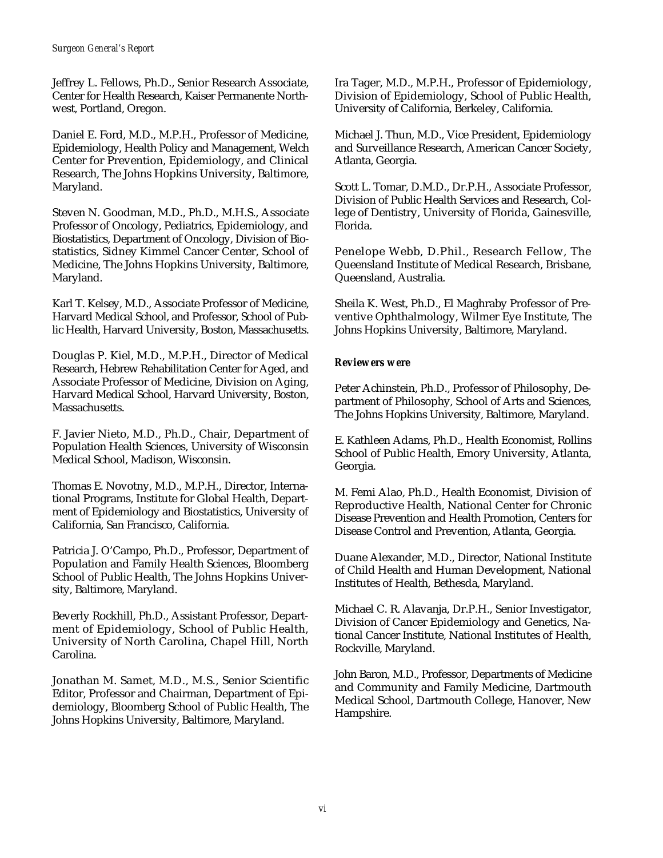Jeffrey L. Fellows, Ph.D., Senior Research Associate, Center for Health Research, Kaiser Permanente Northwest, Portland, Oregon.

Daniel E. Ford, M.D., M.P.H., Professor of Medicine, Epidemiology, Health Policy and Management, Welch Center for Prevention, Epidemiology, and Clinical Research, The Johns Hopkins University, Baltimore, Maryland.

Steven N. Goodman, M.D., Ph.D., M.H.S., Associate Professor of Oncology, Pediatrics, Epidemiology, and Biostatistics, Department of Oncology, Division of Biostatistics, Sidney Kimmel Cancer Center, School of Medicine, The Johns Hopkins University, Baltimore, Maryland.

Karl T. Kelsey, M.D., Associate Professor of Medicine, Harvard Medical School, and Professor, School of Public Health, Harvard University, Boston, Massachusetts.

Douglas P. Kiel, M.D., M.P.H., Director of Medical Research, Hebrew Rehabilitation Center for Aged, and Associate Professor of Medicine, Division on Aging, Harvard Medical School, Harvard University, Boston, Massachusetts.

F. Javier Nieto, M.D., Ph.D., Chair, Department of Population Health Sciences, University of Wisconsin Medical School, Madison, Wisconsin.

Thomas E. Novotny, M.D., M.P.H., Director, International Programs, Institute for Global Health, Department of Epidemiology and Biostatistics, University of California, San Francisco, California.

Patricia J. O'Campo, Ph.D., Professor, Department of Population and Family Health Sciences, Bloomberg School of Public Health, The Johns Hopkins University, Baltimore, Maryland.

Beverly Rockhill, Ph.D., Assistant Professor, Department of Epidemiology, School of Public Health, University of North Carolina, Chapel Hill, North Carolina.

Jonathan M. Samet, M.D., M.S., Senior Scientific Editor, Professor and Chairman, Department of Epidemiology, Bloomberg School of Public Health, The Johns Hopkins University, Baltimore, Maryland.

Ira Tager, M.D., M.P.H., Professor of Epidemiology, Division of Epidemiology, School of Public Health, University of California, Berkeley, California.

Michael J. Thun, M.D., Vice President, Epidemiology and Surveillance Research, American Cancer Society, Atlanta, Georgia.

Scott L. Tomar, D.M.D., Dr.P.H., Associate Professor, Division of Public Health Services and Research, College of Dentistry, University of Florida, Gainesville, Florida.

Penelope Webb, D.Phil., Research Fellow, The Queensland Institute of Medical Research, Brisbane, Queensland, Australia.

Sheila K. West, Ph.D., El Maghraby Professor of Preventive Ophthalmology, Wilmer Eye Institute, The Johns Hopkins University, Baltimore, Maryland.

#### *Reviewers were*

Peter Achinstein, Ph.D., Professor of Philosophy, Department of Philosophy, School of Arts and Sciences, The Johns Hopkins University, Baltimore, Maryland.

E. Kathleen Adams, Ph.D., Health Economist, Rollins School of Public Health, Emory University, Atlanta, Georgia.

M. Femi Alao, Ph.D., Health Economist, Division of Reproductive Health, National Center for Chronic Disease Prevention and Health Promotion, Centers for Disease Control and Prevention, Atlanta, Georgia.

Duane Alexander, M.D., Director, National Institute of Child Health and Human Development, National Institutes of Health, Bethesda, Maryland.

Michael C. R. Alavanja, Dr.P.H., Senior Investigator, Division of Cancer Epidemiology and Genetics, National Cancer Institute, National Institutes of Health, Rockville, Maryland.

John Baron, M.D., Professor, Departments of Medicine and Community and Family Medicine, Dartmouth Medical School, Dartmouth College, Hanover, New Hampshire.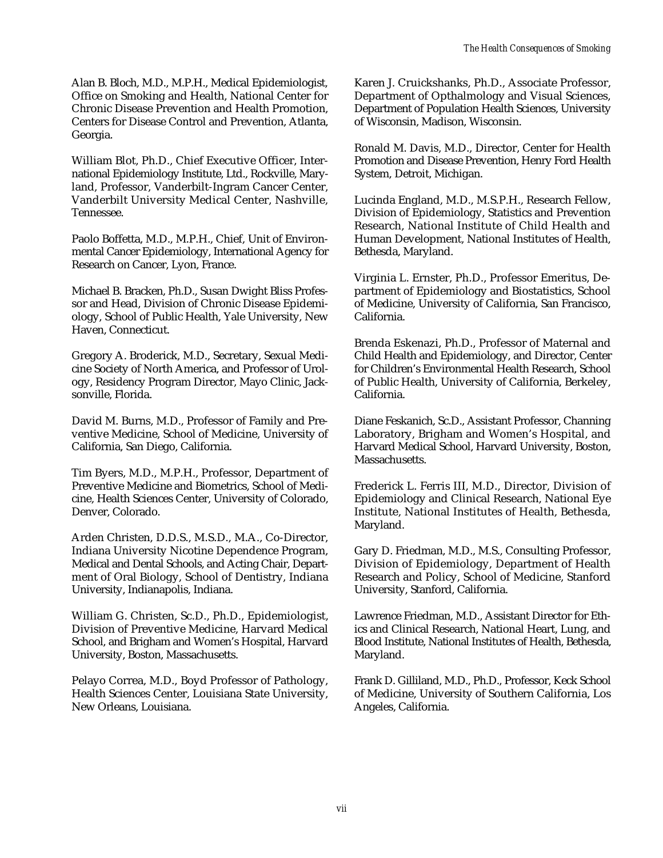Alan B. Bloch, M.D., M.P.H., Medical Epidemiologist, Office on Smoking and Health, National Center for Chronic Disease Prevention and Health Promotion, Centers for Disease Control and Prevention, Atlanta, Georgia.

William Blot, Ph.D., Chief Executive Officer, International Epidemiology Institute, Ltd., Rockville, Maryland, Professor, Vanderbilt-Ingram Cancer Center, Vanderbilt University Medical Center, Nashville, Tennessee.

Paolo Boffetta, M.D., M.P.H., Chief, Unit of Environmental Cancer Epidemiology, International Agency for Research on Cancer, Lyon, France.

Michael B. Bracken, Ph.D., Susan Dwight Bliss Professor and Head, Division of Chronic Disease Epidemiology, School of Public Health, Yale University, New Haven, Connecticut.

Gregory A. Broderick, M.D., Secretary, Sexual Medicine Society of North America, and Professor of Urology, Residency Program Director, Mayo Clinic, Jacksonville, Florida.

David M. Burns, M.D., Professor of Family and Preventive Medicine, School of Medicine, University of California, San Diego, California.

Tim Byers, M.D., M.P.H., Professor, Department of Preventive Medicine and Biometrics, School of Medicine, Health Sciences Center, University of Colorado, Denver, Colorado.

Arden Christen, D.D.S., M.S.D., M.A., Co-Director, Indiana University Nicotine Dependence Program, Medical and Dental Schools, and Acting Chair, Department of Oral Biology, School of Dentistry, Indiana University, Indianapolis, Indiana.

William G. Christen, Sc.D., Ph.D., Epidemiologist, Division of Preventive Medicine, Harvard Medical School, and Brigham and Women's Hospital, Harvard University, Boston, Massachusetts.

Pelayo Correa, M.D., Boyd Professor of Pathology, Health Sciences Center, Louisiana State University, New Orleans, Louisiana.

Karen J. Cruickshanks, Ph.D., Associate Professor, Department of Opthalmology and Visual Sciences, Department of Population Health Sciences, University of Wisconsin, Madison, Wisconsin.

Ronald M. Davis, M.D., Director, Center for Health Promotion and Disease Prevention, Henry Ford Health System, Detroit, Michigan.

Lucinda England, M.D., M.S.P.H., Research Fellow, Division of Epidemiology, Statistics and Prevention Research, National Institute of Child Health and Human Development, National Institutes of Health, Bethesda, Maryland.

Virginia L. Ernster, Ph.D., Professor Emeritus, Department of Epidemiology and Biostatistics, School of Medicine, University of California, San Francisco, California.

Brenda Eskenazi, Ph.D., Professor of Maternal and Child Health and Epidemiology, and Director, Center for Children's Environmental Health Research, School of Public Health, University of California, Berkeley, California.

Diane Feskanich, Sc.D., Assistant Professor, Channing Laboratory, Brigham and Women's Hospital, and Harvard Medical School, Harvard University, Boston, Massachusetts.

Frederick L. Ferris III, M.D., Director, Division of Epidemiology and Clinical Research, National Eye Institute, National Institutes of Health, Bethesda, Maryland.

Gary D. Friedman, M.D., M.S., Consulting Professor, Division of Epidemiology, Department of Health Research and Policy, School of Medicine, Stanford University, Stanford, California.

Lawrence Friedman, M.D., Assistant Director for Ethics and Clinical Research, National Heart, Lung, and Blood Institute, National Institutes of Health, Bethesda, Maryland.

Frank D. Gilliland, M.D., Ph.D., Professor, Keck School of Medicine, University of Southern California, Los Angeles, California.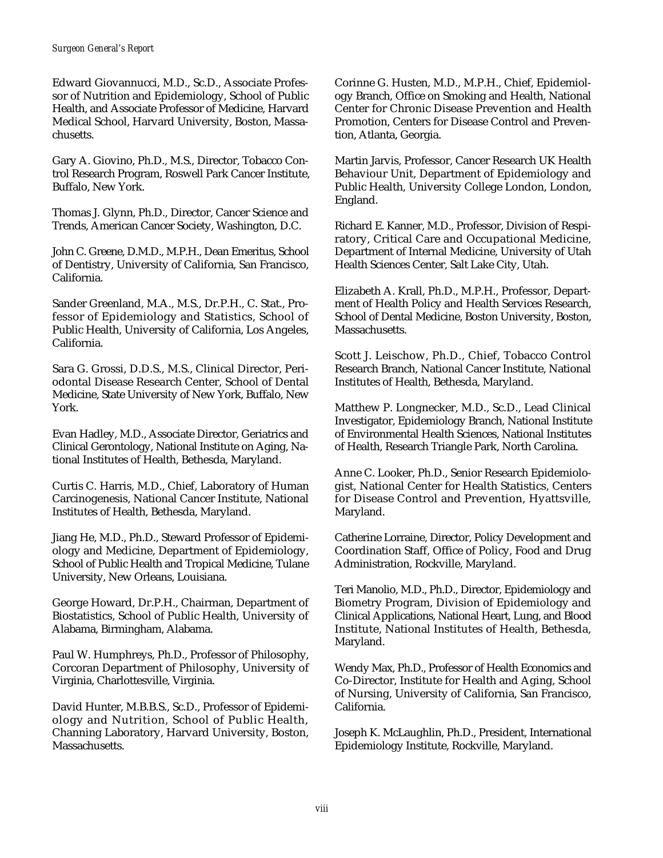Edward Giovannucci, M.D., Sc.D., Associate Professor of Nutrition and Epidemiology, School of Public Health, and Associate Professor of Medicine, Harvard Medical School, Harvard University, Boston, Massachusetts.

Gary A. Giovino, Ph.D., M.S., Director, Tobacco Control Research Program, Roswell Park Cancer Institute, Buffalo, New York.

Thomas J. Glynn, Ph.D., Director, Cancer Science and Trends, American Cancer Society, Washington, D.C.

John C. Greene, D.M.D., M.P.H., Dean Emeritus, School of Dentistry, University of California, San Francisco, California.

Sander Greenland, M.A., M.S., Dr.P.H., C. Stat., Professor of Epidemiology and Statistics, School of Public Health, University of California, Los Angeles, California.

Sara G. Grossi, D.D.S., M.S., Clinical Director, Periodontal Disease Research Center, School of Dental Medicine, State University of New York, Buffalo, New York.

Evan Hadley, M.D., Associate Director, Geriatrics and Clinical Gerontology, National Institute on Aging, National Institutes of Health, Bethesda, Maryland.

Curtis C. Harris, M.D., Chief, Laboratory of Human Carcinogenesis, National Cancer Institute, National Institutes of Health, Bethesda, Maryland.

Jiang He, M.D., Ph.D., Steward Professor of Epidemiology and Medicine, Department of Epidemiology, School of Public Health and Tropical Medicine, Tulane University, New Orleans, Louisiana.

George Howard, Dr.P.H., Chairman, Department of Biostatistics, School of Public Health, University of Alabama, Birmingham, Alabama.

Paul W. Humphreys, Ph.D., Professor of Philosophy, Corcoran Department of Philosophy, University of Virginia, Charlottesville, Virginia.

David Hunter, M.B.B.S., Sc.D., Professor of Epidemiology and Nutrition, School of Public Health, Channing Laboratory, Harvard University, Boston, Massachusetts.

Corinne G. Husten, M.D., M.P.H., Chief, Epidemiology Branch, Office on Smoking and Health, National Center for Chronic Disease Prevention and Health Promotion, Centers for Disease Control and Prevention, Atlanta, Georgia.

Martin Jarvis, Professor, Cancer Research UK Health Behaviour Unit, Department of Epidemiology and Public Health, University College London, London, England.

Richard E. Kanner, M.D., Professor, Division of Respiratory, Critical Care and Occupational Medicine, Department of Internal Medicine, University of Utah Health Sciences Center, Salt Lake City, Utah.

Elizabeth A. Krall, Ph.D., M.P.H., Professor, Department of Health Policy and Health Services Research, School of Dental Medicine, Boston University, Boston, Massachusetts.

Scott J. Leischow, Ph.D., Chief, Tobacco Control Research Branch, National Cancer Institute, National Institutes of Health, Bethesda, Maryland.

Matthew P. Longnecker, M.D., Sc.D., Lead Clinical Investigator, Epidemiology Branch, National Institute of Environmental Health Sciences, National Institutes of Health, Research Triangle Park, North Carolina.

Anne C. Looker, Ph.D., Senior Research Epidemiologist, National Center for Health Statistics, Centers for Disease Control and Prevention, Hyattsville, Maryland.

Catherine Lorraine, Director, Policy Development and Coordination Staff, Office of Policy, Food and Drug Administration, Rockville, Maryland.

Teri Manolio, M.D., Ph.D., Director, Epidemiology and Biometry Program, Division of Epidemiology and Clinical Applications, National Heart, Lung, and Blood Institute, National Institutes of Health, Bethesda, Maryland.

Wendy Max, Ph.D., Professor of Health Economics and Co-Director, Institute for Health and Aging, School of Nursing, University of California, San Francisco, California.

Joseph K. McLaughlin, Ph.D., President, International Epidemiology Institute, Rockville, Maryland.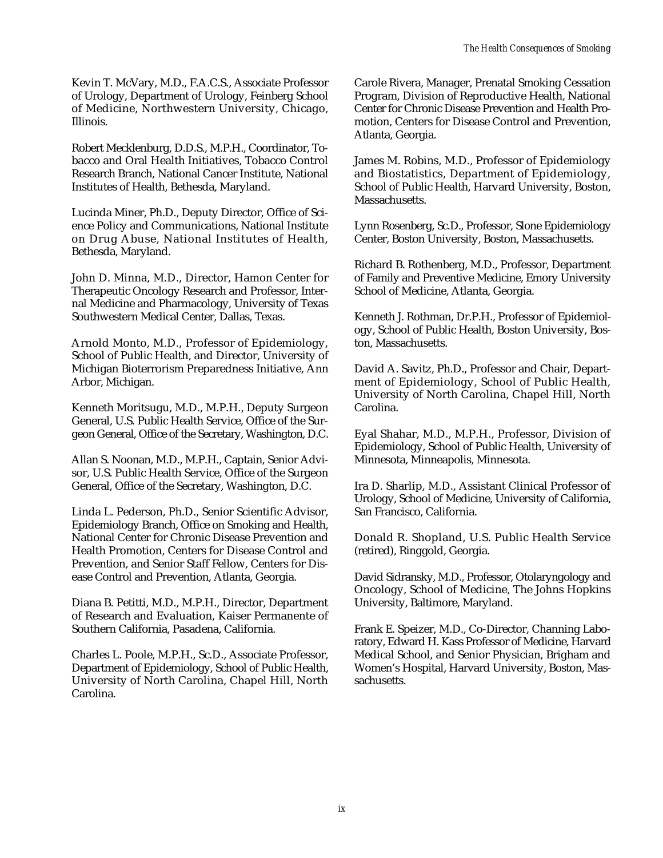Kevin T. McVary, M.D., F.A.C.S., Associate Professor of Urology, Department of Urology, Feinberg School of Medicine, Northwestern University, Chicago, Illinois.

Robert Mecklenburg, D.D.S., M.P.H., Coordinator, Tobacco and Oral Health Initiatives, Tobacco Control Research Branch, National Cancer Institute, National Institutes of Health, Bethesda, Maryland.

Lucinda Miner, Ph.D., Deputy Director, Office of Science Policy and Communications, National Institute on Drug Abuse, National Institutes of Health, Bethesda, Maryland.

John D. Minna, M.D., Director, Hamon Center for Therapeutic Oncology Research and Professor, Internal Medicine and Pharmacology, University of Texas Southwestern Medical Center, Dallas, Texas.

Arnold Monto, M.D., Professor of Epidemiology, School of Public Health, and Director, University of Michigan Bioterrorism Preparedness Initiative, Ann Arbor, Michigan.

Kenneth Moritsugu, M.D., M.P.H., Deputy Surgeon General, U.S. Public Health Service, Office of the Surgeon General, Office of the Secretary, Washington, D.C.

Allan S. Noonan, M.D., M.P.H., Captain, Senior Advisor, U.S. Public Health Service, Office of the Surgeon General, Office of the Secretary, Washington, D.C.

Linda L. Pederson, Ph.D., Senior Scientific Advisor, Epidemiology Branch, Office on Smoking and Health, National Center for Chronic Disease Prevention and Health Promotion, Centers for Disease Control and Prevention, and Senior Staff Fellow, Centers for Disease Control and Prevention, Atlanta, Georgia.

Diana B. Petitti, M.D., M.P.H., Director, Department of Research and Evaluation, Kaiser Permanente of Southern California, Pasadena, California.

Charles L. Poole, M.P.H., Sc.D., Associate Professor, Department of Epidemiology, School of Public Health, University of North Carolina, Chapel Hill, North Carolina.

Carole Rivera, Manager, Prenatal Smoking Cessation Program, Division of Reproductive Health, National Center for Chronic Disease Prevention and Health Promotion, Centers for Disease Control and Prevention, Atlanta, Georgia.

James M. Robins, M.D., Professor of Epidemiology and Biostatistics, Department of Epidemiology, School of Public Health, Harvard University, Boston, Massachusetts.

Lynn Rosenberg, Sc.D., Professor, Slone Epidemiology Center, Boston University, Boston, Massachusetts.

Richard B. Rothenberg, M.D., Professor, Department of Family and Preventive Medicine, Emory University School of Medicine, Atlanta, Georgia.

Kenneth J. Rothman, Dr.P.H., Professor of Epidemiology, School of Public Health, Boston University, Boston, Massachusetts.

David A. Savitz, Ph.D., Professor and Chair, Department of Epidemiology, School of Public Health, University of North Carolina, Chapel Hill, North Carolina.

Eyal Shahar, M.D., M.P.H., Professor, Division of Epidemiology, School of Public Health, University of Minnesota, Minneapolis, Minnesota.

Ira D. Sharlip, M.D., Assistant Clinical Professor of Urology, School of Medicine, University of California, San Francisco, California.

Donald R. Shopland, U.S. Public Health Service (retired), Ringgold, Georgia.

David Sidransky, M.D., Professor, Otolaryngology and Oncology, School of Medicine, The Johns Hopkins University, Baltimore, Maryland.

Frank E. Speizer, M.D., Co-Director, Channing Laboratory, Edward H. Kass Professor of Medicine, Harvard Medical School, and Senior Physician, Brigham and Women's Hospital, Harvard University, Boston, Massachusetts.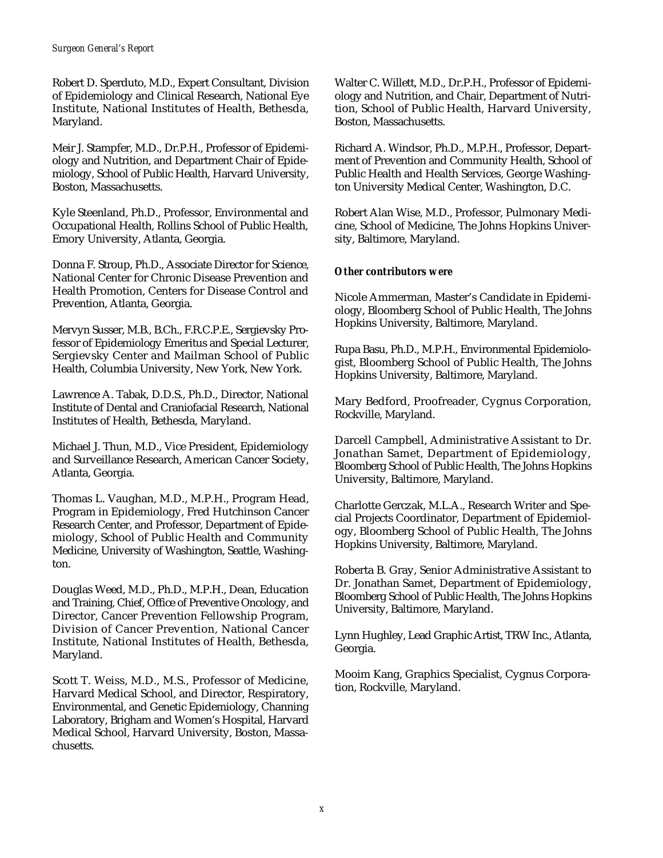Robert D. Sperduto, M.D., Expert Consultant, Division of Epidemiology and Clinical Research, National Eye Institute, National Institutes of Health, Bethesda, Maryland.

Meir J. Stampfer, M.D., Dr.P.H., Professor of Epidemiology and Nutrition, and Department Chair of Epidemiology, School of Public Health, Harvard University, Boston, Massachusetts.

Kyle Steenland, Ph.D., Professor, Environmental and Occupational Health, Rollins School of Public Health, Emory University, Atlanta, Georgia.

Donna F. Stroup, Ph.D., Associate Director for Science, National Center for Chronic Disease Prevention and Health Promotion, Centers for Disease Control and Prevention, Atlanta, Georgia.

Mervyn Susser, M.B., B.Ch., F.R.C.P.E., Sergievsky Professor of Epidemiology Emeritus and Special Lecturer, Sergievsky Center and Mailman School of Public Health, Columbia University, New York, New York.

Lawrence A. Tabak, D.D.S., Ph.D., Director, National Institute of Dental and Craniofacial Research, National Institutes of Health, Bethesda, Maryland.

Michael J. Thun, M.D., Vice President, Epidemiology and Surveillance Research, American Cancer Society, Atlanta, Georgia.

Thomas L. Vaughan, M.D., M.P.H., Program Head, Program in Epidemiology, Fred Hutchinson Cancer Research Center, and Professor, Department of Epidemiology, School of Public Health and Community Medicine, University of Washington, Seattle, Washington.

Douglas Weed, M.D., Ph.D., M.P.H., Dean, Education and Training, Chief, Office of Preventive Oncology, and Director, Cancer Prevention Fellowship Program, Division of Cancer Prevention, National Cancer Institute, National Institutes of Health, Bethesda, Maryland.

Scott T. Weiss, M.D., M.S., Professor of Medicine, Harvard Medical School, and Director, Respiratory, Environmental, and Genetic Epidemiology, Channing Laboratory, Brigham and Women's Hospital, Harvard Medical School, Harvard University, Boston, Massachusetts.

Walter C. Willett, M.D., Dr.P.H., Professor of Epidemiology and Nutrition, and Chair, Department of Nutrition, School of Public Health, Harvard University, Boston, Massachusetts.

Richard A. Windsor, Ph.D., M.P.H., Professor, Department of Prevention and Community Health, School of Public Health and Health Services, George Washington University Medical Center, Washington, D.C.

Robert Alan Wise, M.D., Professor, Pulmonary Medicine, School of Medicine, The Johns Hopkins University, Baltimore, Maryland.

## *Other contributors were*

Nicole Ammerman, Master's Candidate in Epidemiology, Bloomberg School of Public Health, The Johns Hopkins University, Baltimore, Maryland.

Rupa Basu, Ph.D., M.P.H., Environmental Epidemiologist, Bloomberg School of Public Health, The Johns Hopkins University, Baltimore, Maryland.

Mary Bedford, Proofreader, Cygnus Corporation, Rockville, Maryland.

Darcell Campbell, Administrative Assistant to Dr. Jonathan Samet, Department of Epidemiology, Bloomberg School of Public Health, The Johns Hopkins University, Baltimore, Maryland.

Charlotte Gerczak, M.L.A., Research Writer and Special Projects Coordinator, Department of Epidemiology, Bloomberg School of Public Health, The Johns Hopkins University, Baltimore, Maryland.

Roberta B. Gray, Senior Administrative Assistant to Dr. Jonathan Samet, Department of Epidemiology, Bloomberg School of Public Health, The Johns Hopkins University, Baltimore, Maryland.

Lynn Hughley, Lead Graphic Artist, TRW Inc., Atlanta, Georgia.

Mooim Kang, Graphics Specialist, Cygnus Corporation, Rockville, Maryland.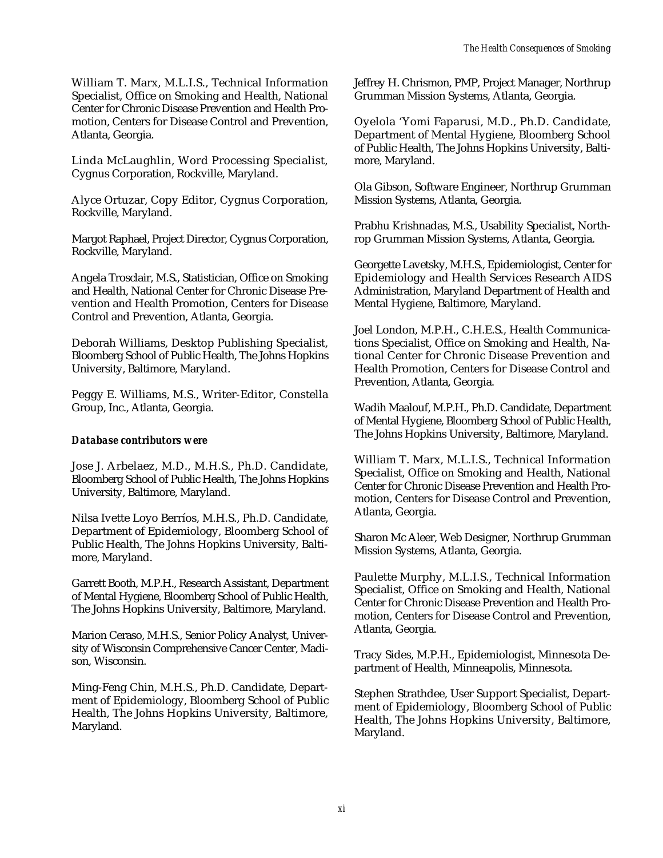William T. Marx, M.L.I.S., Technical Information Specialist, Office on Smoking and Health, National Center for Chronic Disease Prevention and Health Promotion, Centers for Disease Control and Prevention, Atlanta, Georgia.

Linda McLaughlin, Word Processing Specialist, Cygnus Corporation, Rockville, Maryland.

Alyce Ortuzar, Copy Editor, Cygnus Corporation, Rockville, Maryland.

Margot Raphael, Project Director, Cygnus Corporation, Rockville, Maryland.

Angela Trosclair, M.S., Statistician, Office on Smoking and Health, National Center for Chronic Disease Prevention and Health Promotion, Centers for Disease Control and Prevention, Atlanta, Georgia.

Deborah Williams, Desktop Publishing Specialist, Bloomberg School of Public Health, The Johns Hopkins University, Baltimore, Maryland.

Peggy E. Williams, M.S., Writer-Editor, Constella Group, Inc., Atlanta, Georgia.

#### *Database contributors were*

Jose J. Arbelaez, M.D., M.H.S., Ph.D. Candidate, Bloomberg School of Public Health, The Johns Hopkins University, Baltimore, Maryland.

Nilsa Ivette Loyo Berríos, M.H.S., Ph.D. Candidate, Department of Epidemiology, Bloomberg School of Public Health, The Johns Hopkins University, Baltimore, Maryland.

Garrett Booth, M.P.H., Research Assistant, Department of Mental Hygiene, Bloomberg School of Public Health, The Johns Hopkins University, Baltimore, Maryland.

Marion Ceraso, M.H.S., Senior Policy Analyst, University of Wisconsin Comprehensive Cancer Center, Madison, Wisconsin.

Ming-Feng Chin, M.H.S., Ph.D. Candidate, Department of Epidemiology, Bloomberg School of Public Health, The Johns Hopkins University, Baltimore, Maryland.

Jeffrey H. Chrismon, PMP, Project Manager, Northrup Grumman Mission Systems, Atlanta, Georgia.

Oyelola 'Yomi Faparusi, M.D., Ph.D. Candidate, Department of Mental Hygiene, Bloomberg School of Public Health, The Johns Hopkins University, Baltimore, Maryland.

Ola Gibson, Software Engineer, Northrup Grumman Mission Systems, Atlanta, Georgia.

Prabhu Krishnadas, M.S., Usability Specialist, Northrop Grumman Mission Systems, Atlanta, Georgia.

Georgette Lavetsky, M.H.S., Epidemiologist, Center for Epidemiology and Health Services Research AIDS Administration, Maryland Department of Health and Mental Hygiene, Baltimore, Maryland.

Joel London, M.P.H., C.H.E.S., Health Communications Specialist, Office on Smoking and Health, National Center for Chronic Disease Prevention and Health Promotion, Centers for Disease Control and Prevention, Atlanta, Georgia.

Wadih Maalouf, M.P.H., Ph.D. Candidate, Department of Mental Hygiene, Bloomberg School of Public Health, The Johns Hopkins University, Baltimore, Maryland.

William T. Marx, M.L.I.S., Technical Information Specialist, Office on Smoking and Health, National Center for Chronic Disease Prevention and Health Promotion, Centers for Disease Control and Prevention, Atlanta, Georgia.

Sharon Mc Aleer, Web Designer, Northrup Grumman Mission Systems, Atlanta, Georgia.

Paulette Murphy, M.L.I.S., Technical Information Specialist, Office on Smoking and Health, National Center for Chronic Disease Prevention and Health Promotion, Centers for Disease Control and Prevention, Atlanta, Georgia.

Tracy Sides, M.P.H., Epidemiologist, Minnesota Department of Health, Minneapolis, Minnesota.

Stephen Strathdee, User Support Specialist, Department of Epidemiology, Bloomberg School of Public Health, The Johns Hopkins University, Baltimore, Maryland.